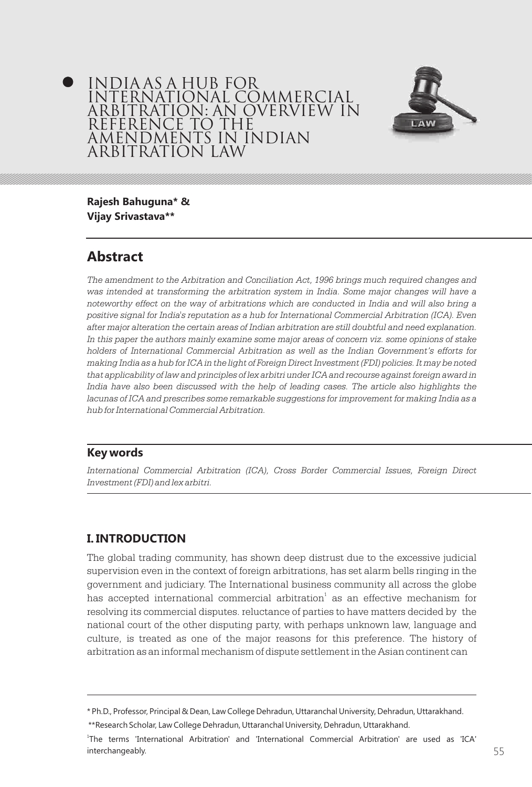## India as a hub for International Commercial Arbitration: An overview in reference to the Amendments in Indian Arbitration Law



**Rajesh Bahuguna\* & Vijay Srivastava\*\***

# **Abstract**

*The amendment to the Arbitration and Conciliation Act, 1996 brings much required changes and was intended at transforming the arbitration system in India. Some major changes will have a noteworthy effect on the way of arbitrations which are conducted in India and will also bring a positive signal for India's reputation as a hub for International Commercial Arbitration (ICA). Even after major alteration the certain areas of Indian arbitration are still doubtful and need explanation.*  In this paper the authors mainly examine some major areas of concern viz. some opinions of stake *holders of International Commercial Arbitration as well as the Indian Government's efforts for making India as a hub for ICA in the light of Foreign Direct Investment (FDI) policies. It may be noted that applicability of law and principles of lex arbitri under ICA and recourse against foreign award in*  India have also been discussed with the help of leading cases. The article also highlights the *lacunas of ICA and prescribes some remarkable suggestions for improvement for making India as a hub for International Commercial Arbitration.* 

### **Key words**

*International Commercial Arbitration (ICA), Cross Border Commercial Issues, Foreign Direct Investment (FDI) and lex arbitri.*

## **I. INTRODUCTION**

The global trading community, has shown deep distrust due to the excessive judicial supervision even in the context of foreign arbitrations, has set alarm bells ringing in the government and judiciary. The International business community all across the globe has accepted international commercial arbitration $^{\rm 1}$  as an effective mechanism for resolving its commercial disputes. reluctance of parties to have matters decided by the national court of the other disputing party, with perhaps unknown law, language and culture, is treated as one of the major reasons for this preference. The history of arbitration as an informal mechanism of dispute settlement in the Asian continent can

<sup>\*</sup> Ph.D., Professor, Principal & Dean, Law College Dehradun, Uttaranchal University, Dehradun, Uttarakhand.

<sup>\*\*</sup>Research Scholar, Law College Dehradun, Uttaranchal University, Dehradun, Uttarakhand.

<sup>1</sup> The terms 'International Arbitration' and 'International Commercial Arbitration' are used as 'ICA' interchangeably. 54 55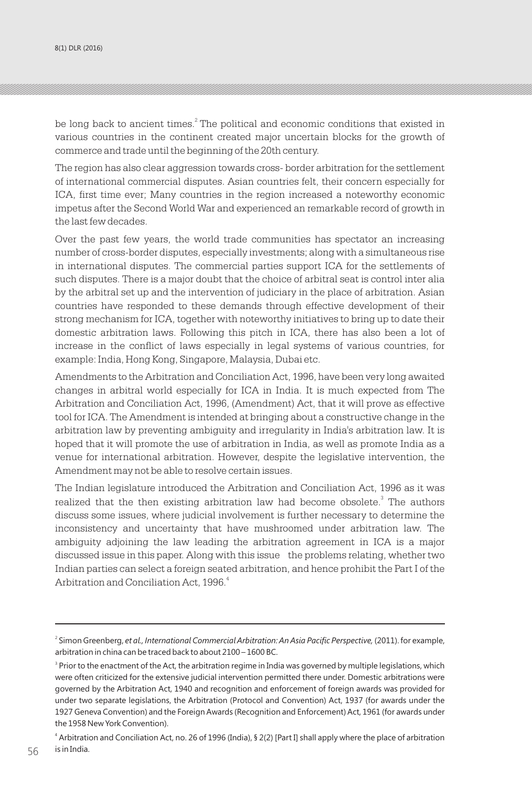be long back to ancient times.<sup>2</sup> The political and economic conditions that existed in various countries in the continent created major uncertain blocks for the growth of commerce and trade until the beginning of the 20th century.

The region has also clear aggression towards cross- border arbitration for the settlement of international commercial disputes. Asian countries felt, their concern especially for ICA, first time ever; Many countries in the region increased a noteworthy economic impetus after the Second World War and experienced an remarkable record of growth in the last few decades.

Over the past few years, the world trade communities has spectator an increasing number of cross-border disputes, especially investments; along with a simultaneous rise in international disputes. The commercial parties support ICA for the settlements of such disputes. There is a major doubt that the choice of arbitral seat is control inter alia by the arbitral set up and the intervention of judiciary in the place of arbitration. Asian countries have responded to these demands through effective development of their strong mechanism for ICA, together with noteworthy initiatives to bring up to date their domestic arbitration laws. Following this pitch in ICA, there has also been a lot of increase in the conflict of laws especially in legal systems of various countries, for example: India, Hong Kong, Singapore, Malaysia, Dubai etc.

Amendments to the Arbitration and Conciliation Act, 1996, have been very long awaited changes in arbitral world especially for ICA in India. It is much expected from The Arbitration and Conciliation Act, 1996, (Amendment) Act, that it will prove as effective tool for ICA. The Amendment is intended at bringing about a constructive change in the arbitration law by preventing ambiguity and irregularity in India's arbitration law. It is hoped that it will promote the use of arbitration in India, as well as promote India as a venue for international arbitration. However, despite the legislative intervention, the Amendment may not be able to resolve certain issues.

The Indian legislature introduced the Arbitration and Conciliation Act, 1996 as it was realized that the then existing arbitration law had become obsolete.<sup>3</sup> The authors discuss some issues, where judicial involvement is further necessary to determine the inconsistency and uncertainty that have mushroomed under arbitration law. The ambiguity adjoining the law leading the arbitration agreement in ICA is a major discussed issue in this paper. Along with this issue the problems relating, whether two Indian parties can select a foreign seated arbitration, and hence prohibit the Part I of the Arbitration and Conciliation Act, 1996.<sup>4</sup>

<sup>2</sup> Simon Greenberg, *et al., International Commercial Arbitration: An Asia Pacific Perspective,* (2011). for example, arbitration in china can be traced back to about 2100 – 1600 BC.

 $^3$  Prior to the enactment of the Act, the arbitration regime in India was governed by multiple legislations, which were often criticized for the extensive judicial intervention permitted there under. Domestic arbitrations were governed by the Arbitration Act, 1940 and recognition and enforcement of foreign awards was provided for under two separate legislations, the Arbitration (Protocol and Convention) Act, 1937 (for awards under the 1927 Geneva Convention) and the Foreign Awards (Recognition and Enforcement) Act, 1961 (for awards under the 1958 New York Convention).

<sup>4</sup> Arbitration and Conciliation Act, no. 26 of 1996 (India), § 2(2) [Part I] shall apply where the place of arbitration is in India.  $156$  is in India.  $\overline{56}$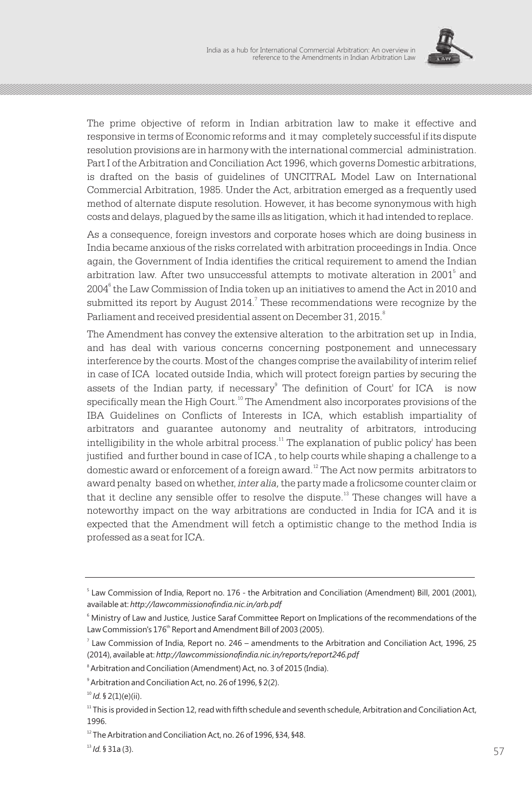

The prime objective of reform in Indian arbitration law to make it effective and responsive in terms of Economic reforms and it may completely successful if its dispute resolution provisions are in harmony with the international commercial administration. Part I of the Arbitration and Conciliation Act 1996, which governs Domestic arbitrations, is drafted on the basis of guidelines of UNCITRAL Model Law on International Commercial Arbitration, 1985. Under the Act, arbitration emerged as a frequently used method of alternate dispute resolution. However, it has become synonymous with high costs and delays, plagued by the same ills as litigation, which it had intended to replace.

As a consequence, foreign investors and corporate hoses which are doing business in India became anxious of the risks correlated with arbitration proceedings in India. Once again, the Government of India identifies the critical requirement to amend the Indian arbitration law. After two unsuccessful attempts to motivate alteration in 2001<sup>5</sup> and 2004<sup>6</sup> the Law Commission of India token up an initiatives to amend the Act in 2010 and submitted its report by August 2014. $^7$  These recommendations were recognize by the Parliament and received presidential assent on December 31, 2015.

The Amendment has convey the extensive alteration to the arbitration set up in India, and has deal with various concerns concerning postponement and unnecessary interference by the courts. Most of the changes comprise the availability of interim relief in case of ICA located outside India, which will protect foreign parties by securing the assets of the Indian party, if necessary<sup>9</sup> The definition of Court' for ICA is now specifically mean the High Court.<sup>10</sup> The Amendment also incorporates provisions of the IBA Guidelines on Conflicts of Interests in ICA, which establish impartiality of arbitrators and guarantee autonomy and neutrality of arbitrators, introducing  $i$ ntelligibility in the whole arbitral process.<sup>11</sup> The explanation of public policy' has been justified and further bound in case of ICA , to help courts while shaping a challenge to a domestic award or enforcement of a foreign award.<sup>12</sup> The Act now permits arbitrators to award penalty based on whether, *inter alia,* the party made a frolicsome counter claim or that it decline any sensible offer to resolve the dispute. $^{13}$  These changes will have a noteworthy impact on the way arbitrations are conducted in India for ICA and it is expected that the Amendment will fetch a optimistic change to the method India is professed as a seat for ICA.

<sup>5</sup> Law Commission of India, Report no. 176 - the Arbitration and Conciliation (Amendment) Bill, 2001 (2001), available at: *http://lawcommissionofindia.nic.in/arb.pdf*

<sup>6</sup> Ministry of Law and Justice, Justice Saraf Committee Report on Implications of the recommendations of the Law Commission's 176<sup>th</sup> Report and Amendment Bill of 2003 (2005).

<sup>7</sup> Law Commission of India, Report no. 246 – amendments to the Arbitration and Conciliation Act, 1996, 25 (2014), available at: *http://lawcommissionofindia.nic.in/reports/report246.pdf*

<sup>8</sup> Arbitration and Conciliation (Amendment) Act, no. 3 of 2015 (India).

<sup>9</sup> Arbitration and Conciliation Act, no. 26 of 1996, § 2(2).

<sup>10</sup> *Id.* § 2(1)(e)(ii).

 $11$  This is provided in Section 12, read with fifth schedule and seventh schedule, Arbitration and Conciliation Act, 1996.

 $12$  The Arbitration and Conciliation Act, no. 26 of 1996, §34, §48.

 $^{13}$  *Id.* § 31a (3). 57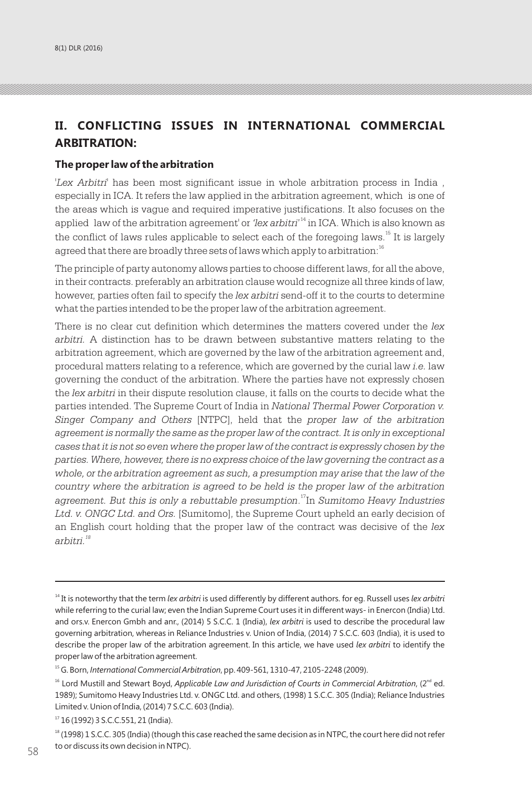# **II. CONFLICTING ISSUES IN INTERNATIONAL COMMERCIAL ARBITRATION:**

#### **The proper law of the arbitration**

'*Lex Arbitri*' has been most significant issue in whole arbitration process in India , especially in ICA. It refers the law applied in the arbitration agreement, which is one of the areas which is vague and required imperative justifications. It also focuses on the applied law of the arbitration agreement' or *'lex arbitri'*<sup>14</sup> in ICA. Which is also known as the conflict of laws rules applicable to select each of the foregoing laws.<sup>15</sup> It is largely agreed that there are broadly three sets of laws which apply to arbitration:<sup>16</sup>

The principle of party autonomy allows parties to choose different laws, for all the above, in their contracts. preferably an arbitration clause would recognize all three kinds of law, however, parties often fail to specify the *lex arbitri* send-off it to the courts to determine what the parties intended to be the proper law of the arbitration agreement.

There is no clear cut definition which determines the matters covered under the *lex arbitri.* A distinction has to be drawn between substantive matters relating to the arbitration agreement, which are governed by the law of the arbitration agreement and, procedural matters relating to a reference, which are governed by the curial law *i.e.* law governing the conduct of the arbitration. Where the parties have not expressly chosen the *lex arbitri* in their dispute resolution clause, it falls on the courts to decide what the parties intended. The Supreme Court of India in *National Thermal Power Corporation v. Singer Company and Others* [NTPC], held that the *proper law of the arbitration agreement is normally the same as the proper law of the contract. It is only in exceptional cases that it is not so even where the proper law of the contract is expressly chosen by the parties. Where, however, there is no express choice of the law governing the contract as a*  whole, or the arbitration agreement as such, a presumption may arise that the law of the *country where the arbitration is agreed to be held is the proper law of the arbitration*  agreement. But this is only a rebuttable presumption.<sup>17</sup>In Sumitomo Heavy Industries *Ltd. v. ONGC Ltd. and Ors.* [Sumitomo], the Supreme Court upheld an early decision of an English court holding that the proper law of the contract was decisive of the *lex <sup>18</sup> arbitri.*

<sup>14</sup> It is noteworthy that the term *lex arbitri* is used differently by different authors. for eg. Russell uses *lex arbitri* while referring to the curial law; even the Indian Supreme Court uses it in different ways- in Enercon (India) Ltd. and ors.v. Enercon Gmbh and anr., (2014) 5 S.C.C. 1 (India), *lex arbitri* is used to describe the procedural law governing arbitration, whereas in Reliance Industries v. Union of India, (2014) 7 S.C.C. 603 (India), it is used to describe the proper law of the arbitration agreement. In this article, we have used *lex arbitri* to identify the proper law of the arbitration agreement.

<sup>15</sup>G. Born, *International Commercial Arbitration*, pp. 409-561, 1310-47, 2105-2248 (2009).

<sup>&</sup>lt;sup>16</sup> Lord Mustill and Stewart Boyd, *Applicable Law and Jurisdiction of Courts in Commercial Arbitration*, (2<sup>nd</sup> ed. 1989); Sumitomo Heavy Industries Ltd. v. ONGC Ltd. and others, (1998) 1 S.C.C. 305 (India); Reliance Industries Limited v. Union of India, (2014) 7 S.C.C. 603 (India).

 $17$  16 (1992) 3 S.C.C.551, 21 (India).

 $18$  (1998) 1 S.C.C. 305 (India) (though this case reached the same decision as in NTPC, the court here did not refer to or discuss its own decision in NTPC).  $\frac{1}{58}$  commercial under the law individual and where at least one of the parties is (iii) and individual  $\frac{1}{58}$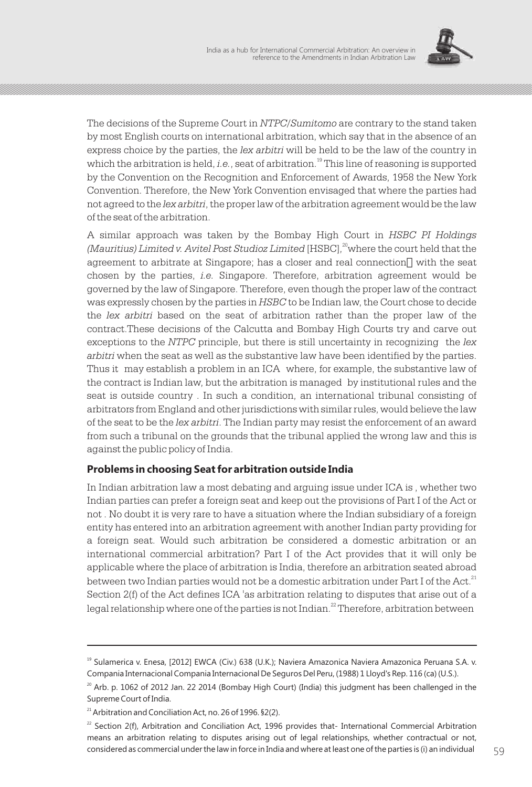

The decisions of the Supreme Court in *NTPC/Sumitomo* are contrary to the stand taken by most English courts on international arbitration, which say that in the absence of an express choice by the parties, the *lex arbitri* will be held to be the law of the country in which the arbitration is held, *i.e.*, seat of arbitration.<sup>19</sup> This line of reasoning is supported by the Convention on the Recognition and Enforcement of Awards, 1958 the New York Convention. Therefore, the New York Convention envisaged that where the parties had not agreed to the *lex arbitri*, the proper law of the arbitration agreement would be the law of the seat of the arbitration.

A similar approach was taken by the Bombay High Court in *HSBC PI Holdings*  <sup>20</sup> *(Mauritius) Limited v. Avitel Post Studioz Limited* [HSBC], where the court held that the agreement to arbitrate at Singapore; has a closer and real connection‖ with the seat chosen by the parties, *i.e.* Singapore. Therefore, arbitration agreement would be governed by the law of Singapore. Therefore, even though the proper law of the contract was expressly chosen by the parties in *HSBC* to be Indian law, the Court chose to decide the *lex arbitri* based on the seat of arbitration rather than the proper law of the contract.These decisions of the Calcutta and Bombay High Courts try and carve out exceptions to the *NTPC* principle, but there is still uncertainty in recognizing the *lex arbitri* when the seat as well as the substantive law have been identified by the parties. Thus it may establish a problem in an ICA where, for example, the substantive law of the contract is Indian law, but the arbitration is managed by institutional rules and the seat is outside country . In such a condition, an international tribunal consisting of arbitrators from England and other jurisdictions with similar rules, would believe the law of the seat to be the *lex arbitri*. The Indian party may resist the enforcement of an award from such a tribunal on the grounds that the tribunal applied the wrong law and this is against the public policy of India.

### **Problems in choosing Seat for arbitration outside India**

In Indian arbitration law a most debating and arguing issue under ICA is , whether two Indian parties can prefer a foreign seat and keep out the provisions of Part I of the Act or not . No doubt it is very rare to have a situation where the Indian subsidiary of a foreign entity has entered into an arbitration agreement with another Indian party providing for a foreign seat. Would such arbitration be considered a domestic arbitration or an international commercial arbitration? Part I of the Act provides that it will only be applicable where the place of arbitration is India, therefore an arbitration seated abroad between two Indian parties would not be a domestic arbitration under Part I of the Act.<sup>21</sup> Section 2(f) of the Act defines ICA 'as arbitration relating to disputes that arise out of a legal relationship where one of the parties is not Indian.  $^{22}$  Therefore, arbitration between

<sup>&</sup>lt;sup>19</sup> Sulamerica v. Enesa, [2012] EWCA (Civ.) 638 (U.K.); Naviera Amazonica Naviera Amazonica Peruana S.A. v. Compania Internacional Compania Internacional De Seguros Del Peru, (1988) 1 Lloyd's Rep. 116 (ca) (U.S.).

 $^{20}$  Arb. p. 1062 of 2012 Jan. 22 2014 (Bombay High Court) (India) this judgment has been challenged in the Supreme Court of India.

 $21$  Arbitration and Conciliation Act, no. 26 of 1996. §2(2).

 $^{22}$  Section 2(f), Arbitration and Conciliation Act, 1996 provides that- International Commercial Arbitration means an arbitration relating to disputes arising out of legal relationships, whether contractual or not, considered as commercial under the law in force in India and where at least one of the parties is (i) an individual  $59$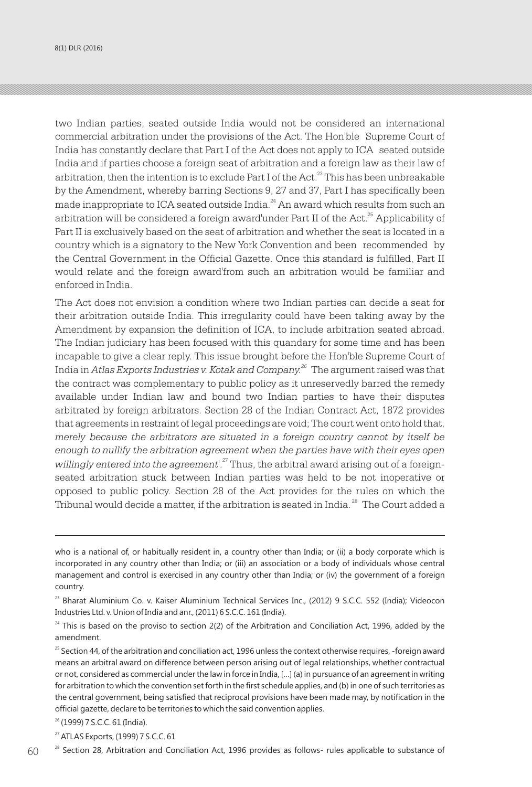two Indian parties, seated outside India would not be considered an international commercial arbitration under the provisions of the Act. The Hon'ble Supreme Court of India has constantly declare that Part I of the Act does not apply to ICA seated outside India and if parties choose a foreign seat of arbitration and a foreign law as their law of arbitration, then the intention is to exclude Part I of the Act.<sup>23</sup> This has been unbreakable by the Amendment, whereby barring Sections 9, 27 and 37, Part I has specifically been made inappropriate to ICA seated outside India.<sup>24</sup> An award which results from such an arbitration will be considered a foreign award'under Part II of the Act.<sup>25</sup> Applicability of Part II is exclusively based on the seat of arbitration and whether the seat is located in a country which is a signatory to the New York Convention and been recommended by the Central Government in the Official Gazette. Once this standard is fulfilled, Part II would relate and the foreign award'from such an arbitration would be familiar and enforced in India.

The Act does not envision a condition where two Indian parties can decide a seat for their arbitration outside India. This irregularity could have been taking away by the Amendment by expansion the definition of ICA, to include arbitration seated abroad. The Indian judiciary has been focused with this quandary for some time and has been incapable to give a clear reply. This issue brought before the Hon'ble Supreme Court of India in *Atlas Exports Industries v. Kotak and Company.<sup>26</sup>* The argument raised was that the contract was complementary to public policy as it unreservedly barred the remedy available under Indian law and bound two Indian parties to have their disputes arbitrated by foreign arbitrators. Section 28 of the Indian Contract Act, 1872 provides that agreements in restraint of legal proceedings are void; The court went onto hold that, *merely because the arbitrators are situated in a foreign country cannot by itself be enough to nullify the arbitration agreement when the parties have with their eyes open*  willingly entered into the agreement<sup>'. 27</sup> Thus, the arbitral award arising out of a foreignseated arbitration stuck between Indian parties was held to be not inoperative or opposed to public policy. Section 28 of the Act provides for the rules on which the Tribunal would decide a matter, if the arbitration is seated in India.<sup>28</sup> The Court added a

 $60$   $^{28}$  Section 28, Arbitration and Conciliation Act, 1996 provides as follows- rules applicable to substance of

who is a national of, or habitually resident in, a country other than India; or (ii) a body corporate which is incorporated in any country other than India; or (iii) an association or a body of individuals whose central management and control is exercised in any country other than India; or (iv) the government of a foreign country.

<sup>&</sup>lt;sup>23</sup> Bharat Aluminium Co. v. Kaiser Aluminium Technical Services Inc., (2012) 9 S.C.C. 552 (India); Videocon Industries Ltd. v. Union of India and anr., (2011) 6 S.C.C. 161 (India).

 $^{24}$  This is based on the proviso to section 2(2) of the Arbitration and Conciliation Act, 1996, added by the amendment.

<sup>&</sup>lt;sup>25</sup> Section 44, of the arbitration and conciliation act, 1996 unless the context otherwise requires, -foreign award means an arbitral award on difference between person arising out of legal relationships, whether contractual or not, considered as commercial under the law in force in India, […] (a) in pursuance of an agreement in writing for arbitration to which the convention set forth in the first schedule applies, and (b) in one of such territories as the central government, being satisfied that reciprocal provisions have been made may, by notification in the official gazette, declare to be territories to which the said convention applies.

<sup>&</sup>lt;sup>26</sup> (1999) 7 S.C.C. 61 (India).

<sup>&</sup>lt;sup>27</sup> ATLAS Exports, (1999) 7 S.C.C. 61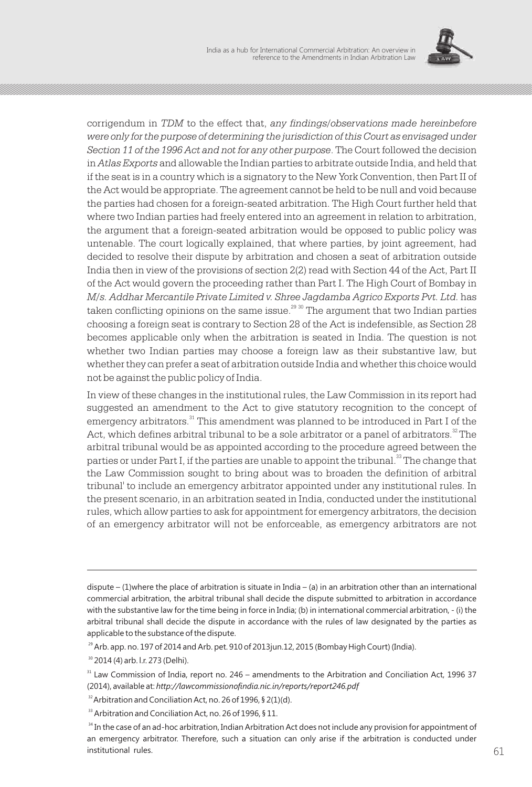

corrigendum in *TDM* to the effect that, *any findings/observations made hereinbefore were only for the purpose of determining the jurisdiction of this Court as envisaged under Section 11 of the 1996 Act and not for any other purpose*. The Court followed the decision in *Atlas Exports* and allowable the Indian parties to arbitrate outside India, and held that if the seat is in a country which is a signatory to the New York Convention, then Part II of the Act would be appropriate. The agreement cannot be held to be null and void because the parties had chosen for a foreign-seated arbitration. The High Court further held that where two Indian parties had freely entered into an agreement in relation to arbitration, the argument that a foreign-seated arbitration would be opposed to public policy was untenable. The court logically explained, that where parties, by joint agreement, had decided to resolve their dispute by arbitration and chosen a seat of arbitration outside India then in view of the provisions of section 2(2) read with Section 44 of the Act, Part II of the Act would govern the proceeding rather than Part I. The High Court of Bombay in *M/s. Addhar Mercantile Private Limited v. Shree Jagdamba Agrico Exports Pvt. Ltd.* has  $\alpha$  taken conflicting opinions on the same issue.<sup>29 30</sup> The argument that two Indian parties choosing a foreign seat is contrary to Section 28 of the Act is indefensible, as Section 28 becomes applicable only when the arbitration is seated in India. The question is not whether two Indian parties may choose a foreign law as their substantive law, but whether they can prefer a seat of arbitration outside India and whether this choice would not be against the public policy of India.

In view of these changes in the institutional rules, the Law Commission in its report had suggested an amendment to the Act to give statutory recognition to the concept of emergency arbitrators. $^{\textrm{\tiny{31}}}$  This amendment was planned to be introduced in Part I of the Act, which defines arbitral tribunal to be a sole arbitrator or a panel of arbitrators. $2^{\circ}$  The arbitral tribunal would be as appointed according to the procedure agreed between the parties or under Part I, if the parties are unable to appoint the tribunal. $^{\rm 33}$  The change that the Law Commission sought to bring about was to broaden the definition of arbitral tribunal' to include an emergency arbitrator appointed under any institutional rules. In the present scenario, in an arbitration seated in India, conducted under the institutional rules, which allow parties to ask for appointment for emergency arbitrators, the decision of an emergency arbitrator will not be enforceable, as emergency arbitrators are not

dispute – (1)where the place of arbitration is situate in India – (a) in an arbitration other than an international commercial arbitration, the arbitral tribunal shall decide the dispute submitted to arbitration in accordance with the substantive law for the time being in force in India; (b) in international commercial arbitration, - (i) the arbitral tribunal shall decide the dispute in accordance with the rules of law designated by the parties as applicable to the substance of the dispute.

 $^{29}$  Arb. app. no. 197 of 2014 and Arb. pet. 910 of 2013jun.12, 2015 (Bombay High Court) (India).

<sup>&</sup>lt;sup>30</sup> 2014 (4) arb. l.r. 273 (Delhi).

 $31$  Law Commission of India, report no. 246 – amendments to the Arbitration and Conciliation Act, 1996 37 (2014), available at: *http://lawcommissionofindia.nic.in/reports/report246.pdf*

 $32$ Arbitration and Conciliation Act, no. 26 of 1996, § 2(1)(d).

<sup>&</sup>lt;sup>33</sup> Arbitration and Conciliation Act, no. 26 of 1996, § 11.

<sup>&</sup>lt;sup>34</sup> In the case of an ad-hoc arbitration, Indian Arbitration Act does not include any provision for appointment of an emergency arbitrator. Therefore, such a situation can only arise if the arbitration is conducted under  $61$  institutional rules.  $61$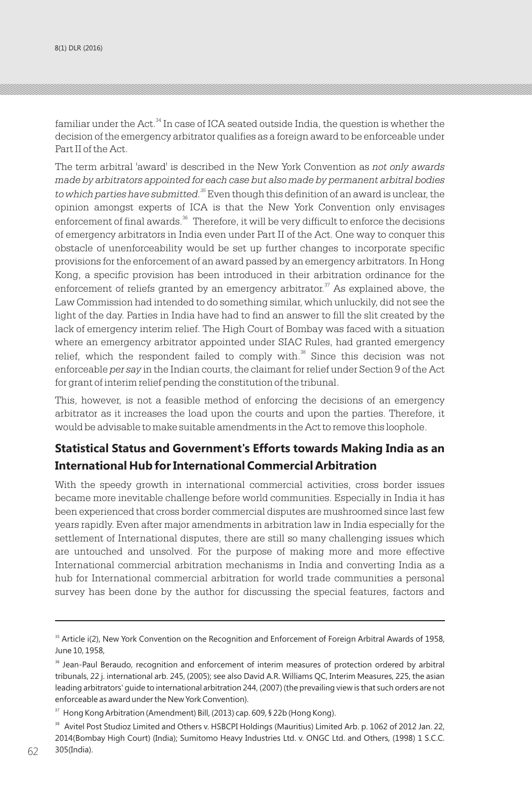familiar under the Act.<sup>34</sup> In case of ICA seated outside India, the question is whether the decision of the emergency arbitrator qualifies as a foreign award to be enforceable under Part II of the Act.

The term arbitral 'award' is described in the New York Convention as *not only awards made by arbitrators appointed for each case but also made by permanent arbitral bodies*  to which parties have submitted.<sup>35</sup> Even though this definition of an award is unclear, the opinion amongst experts of ICA is that the New York Convention only envisages enforcement of final awards.<sup>36</sup> Therefore, it will be very difficult to enforce the decisions of emergency arbitrators in India even under Part II of the Act. One way to conquer this obstacle of unenforceability would be set up further changes to incorporate specific provisions for the enforcement of an award passed by an emergency arbitrators. In Hong Kong, a specific provision has been introduced in their arbitration ordinance for the enforcement of reliefs granted by an emergency arbitrator. $\alpha$ <sup>37</sup> As explained above, the Law Commission had intended to do something similar, which unluckily, did not see the light of the day. Parties in India have had to find an answer to fill the slit created by the lack of emergency interim relief. The High Court of Bombay was faced with a situation where an emergency arbitrator appointed under SIAC Rules, had granted emergency  $38$  relief, which the respondent failed to comply with. $38$  Since this decision was not enforceable *per say* in the Indian courts, the claimant for relief under Section 9 of the Act for grant of interim relief pending the constitution of the tribunal.

This, however, is not a feasible method of enforcing the decisions of an emergency arbitrator as it increases the load upon the courts and upon the parties. Therefore, it would be advisable to make suitable amendments in the Act to remove this loophole.

## **Statistical Status and Government's Efforts towards Making India as an International Hub for International Commercial Arbitration**

With the speedy growth in international commercial activities, cross border issues became more inevitable challenge before world communities. Especially in India it has been experienced that cross border commercial disputes are mushroomed since last few years rapidly. Even after major amendments in arbitration law in India especially for the settlement of International disputes, there are still so many challenging issues which are untouched and unsolved. For the purpose of making more and more effective International commercial arbitration mechanisms in India and converting India as a hub for International commercial arbitration for world trade communities a personal survey has been done by the author for discussing the special features, factors and

<sup>&</sup>lt;sup>35</sup> Article i(2), New York Convention on the Recognition and Enforcement of Foreign Arbitral Awards of 1958, June 10, 1958,

<sup>&</sup>lt;sup>36</sup> Jean-Paul Beraudo, recognition and enforcement of interim measures of protection ordered by arbitral tribunals, 22 j. international arb. 245, (2005); see also David A.R. Williams QC, Interim Measures, 225, the asian leading arbitrators' guide to international arbitration 244, (2007) (the prevailing view is that such orders are not enforceable as award under the New York Convention).

<sup>&</sup>lt;sup>37</sup> Hong Kong Arbitration (Amendment) Bill, (2013) cap. 609, § 22b (Hong Kong).

<sup>&</sup>lt;sup>38</sup> Avitel Post Studioz Limited and Others v. HSBCPI Holdings (Mauritius) Limited Arb. p. 1062 of 2012 Jan. 22, 2014(Bombay High Court) (India); Sumitomo Heavy Industries Ltd. v. ONGC Ltd. and Others, (1998) 1 S.C.C.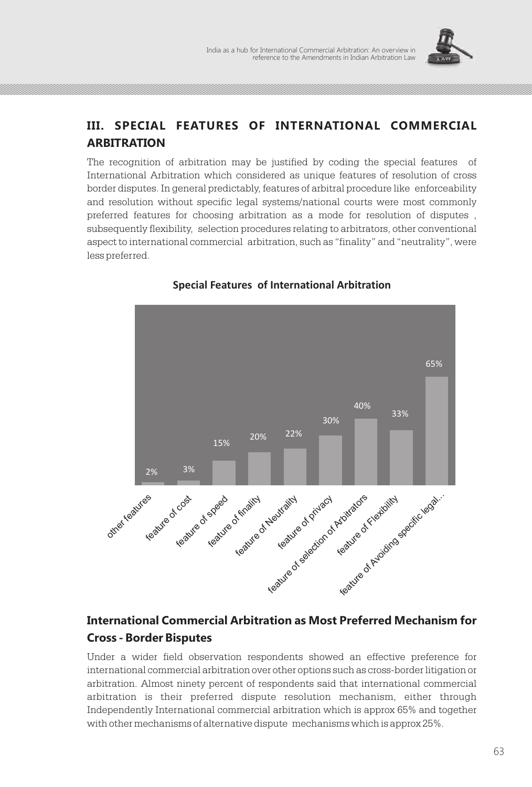

## **III. SPECIAL FEATURES OF INTERNATIONAL COMMERCIAL ARBITRATION**

The recognition of arbitration may be justified by coding the special features of International Arbitration which considered as unique features of resolution of cross border disputes. In general predictably, features of arbitral procedure like enforceability and resolution without specific legal systems/national courts were most commonly preferred features for choosing arbitration as a mode for resolution of disputes , subsequently flexibility, selection procedures relating to arbitrators, other conventional aspect to international commercial arbitration, such as "finality" and "neutrality", were less preferred.



## **Special Features of International Arbitration**

# **International Commercial Arbitration as Most Preferred Mechanism for Cross - Border Bisputes**

Under a wider field observation respondents showed an effective preference for international commercial arbitration over other options such as cross-border litigation or arbitration. Almost ninety percent of respondents said that international commercial arbitration is their preferred dispute resolution mechanism, either through Independently International commercial arbitration which is approx 65% and together with other mechanisms of alternative dispute mechanisms which is approx 25%.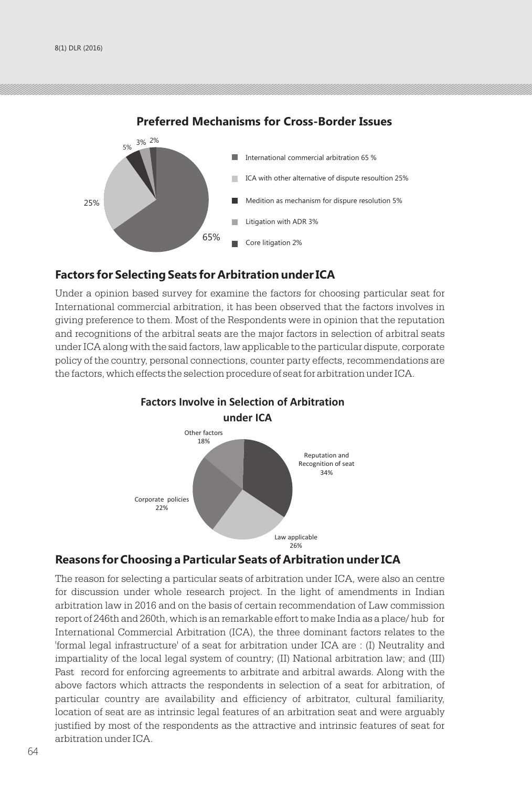

### **Preferred Mechanisms for Cross-Border Issues**

### **Factors for Selecting Seats for Arbitration under ICA**

Under a opinion based survey for examine the factors for choosing particular seat for International commercial arbitration, it has been observed that the factors involves in giving preference to them. Most of the Respondents were in opinion that the reputation and recognitions of the arbitral seats are the major factors in selection of arbitral seats under ICA along with the said factors, law applicable to the particular dispute, corporate policy of the country, personal connections, counter party effects, recommendations are the factors, which effects the selection procedure of seat for arbitration under ICA.



# **Factors Involve in Selection of Arbitration**

## **Reasons for Choosing a Particular Seats of Arbitration under ICA**

The reason for selecting a particular seats of arbitration under ICA, were also an centre for discussion under whole research project. In the light of amendments in Indian arbitration law in 2016 and on the basis of certain recommendation of Law commission report of 246th and 260th, which is an remarkable effort to make India as a place/ hub for International Commercial Arbitration (ICA), the three dominant factors relates to the 'formal legal infrastructure' of a seat for arbitration under ICA are : (I) Neutrality and impartiality of the local legal system of country; (II) National arbitration law; and (III) Past record for enforcing agreements to arbitrate and arbitral awards. Along with the above factors which attracts the respondents in selection of a seat for arbitration, of particular country are availability and efficiency of arbitrator, cultural familiarity, location of seat are as intrinsic legal features of an arbitration seat and were arguably justified by most of the respondents as the attractive and intrinsic features of seat for arbitration under ICA.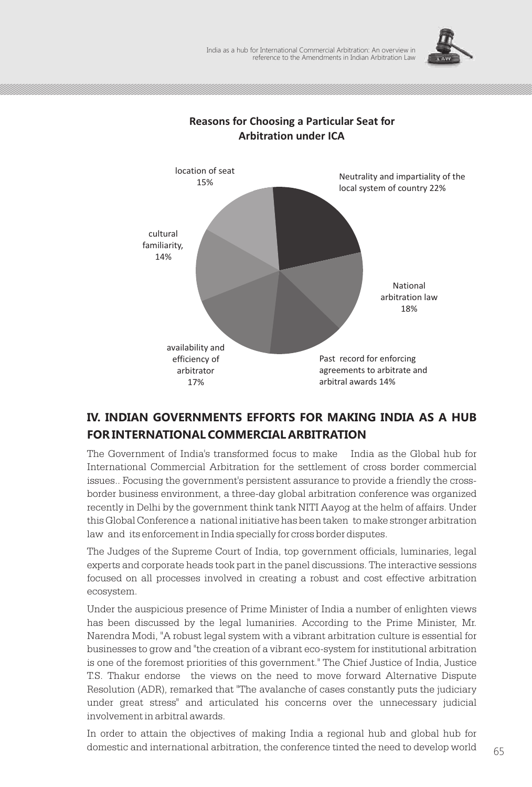



## **Reasons for Choosing a Particular Seat for Arbitration under ICA**

# **IV. INDIAN GOVERNMENTS EFFORTS FOR MAKING INDIA AS A HUB FOR INTERNATIONAL COMMERCIAL ARBITRATION**

The Government of India's transformed focus to make India as the Global hub for International Commercial Arbitration for the settlement of cross border commercial issues.. Focusing the government's persistent assurance to provide a friendly the crossborder business environment, a three-day global arbitration conference was organized recently in Delhi by the government think tank NITI Aayog at the helm of affairs. Under this Global Conference a national initiative has been taken to make stronger arbitration law and its enforcement in India specially for cross border disputes.

The Judges of the Supreme Court of India, top government officials, luminaries, legal experts and corporate heads took part in the panel discussions. The interactive sessions focused on all processes involved in creating a robust and cost effective arbitration ecosystem.

Under the auspicious presence of Prime Minister of India a number of enlighten views has been discussed by the legal lumaniries. According to the Prime Minister, Mr. Narendra Modi, "A robust legal system with a vibrant arbitration culture is essential for businesses to grow and "the creation of a vibrant eco-system for institutional arbitration is one of the foremost priorities of this government." The Chief Justice of India, Justice T.S. Thakur endorse the views on the need to move forward Alternative Dispute Resolution (ADR), remarked that "The avalanche of cases constantly puts the judiciary under great stress" and articulated his concerns over the unnecessary judicial involvement in arbitral awards.

In order to attain the objectives of making India a regional hub and global hub for domestic and international arbitration, the conference tinted the need to develop world  $\qquad \qquad 65$